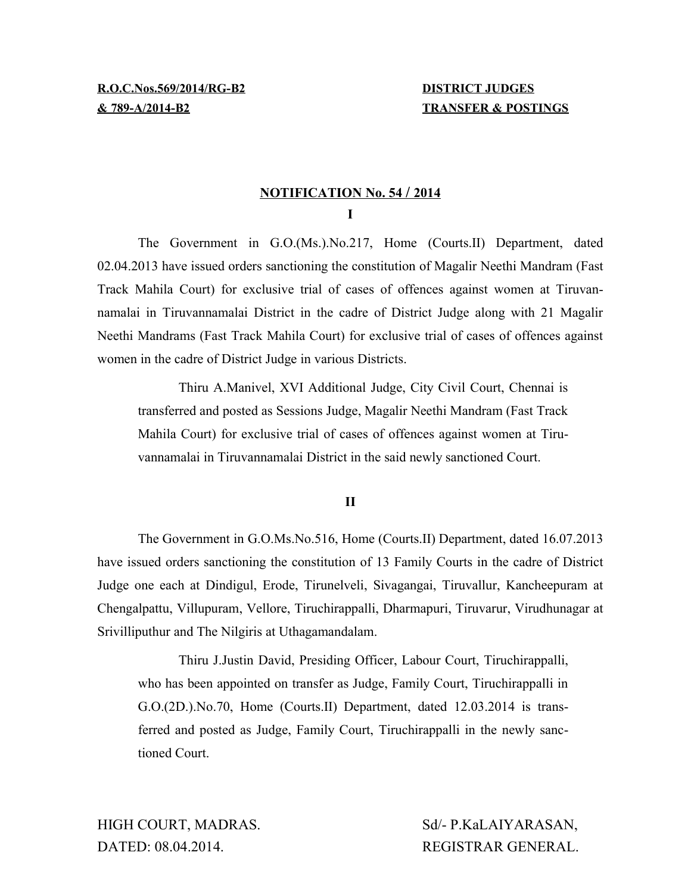## **N OTIFICATION No. 54 / 2014 I**

The Government in G.O.(Ms.).No.217, Home (Courts.II) Department, dated 02.04.2013 have issued orders sanctioning the constitution of Magalir Neethi Mandram (Fast Track Mahila Court) for exclusive trial of cases of offences against women at Tiruvannamalai in Tiruvannamalai District in the cadre of District Judge along with 21 Magalir Neethi Mandrams (Fast Track Mahila Court) for exclusive trial of cases of offences against women in the cadre of District Judge in various Districts.

Thiru A.Manivel, XVI Additional Judge, City Civil Court, Chennai is transferred and posted as Sessions Judge, Magalir Neethi Mandram (Fast Track Mahila Court) for exclusive trial of cases of offences against women at Tiruvannamalai in Tiruvannamalai District in the said newly sanctioned Court.

**II**

The Government in G.O.Ms.No.516, Home (Courts.II) Department, dated 16.07.2013 have issued orders sanctioning the constitution of 13 Family Courts in the cadre of District Judge one each at Dindigul, Erode, Tirunelveli, Sivagangai, Tiruvallur, Kancheepuram at Chengalpattu, Villupuram, Vellore, Tiruchirappalli, Dharmapuri, Tiruvarur, Virudhunagar at Srivilliputhur and The Nilgiris at Uthagamandalam.

Thiru J.Justin David, Presiding Officer, Labour Court, Tiruchirappalli, who has been appointed on transfer as Judge, Family Court, Tiruchirappalli in G.O.(2D.).No.70, Home (Courts.II) Department, dated 12.03.2014 is transferred and posted as Judge, Family Court, Tiruchirappalli in the newly sanctioned Court.

HIGH COURT, MADRAS. Sd/- P.KaLAIYARASAN, DATED: 08.04.2014. REGISTRAR GENERAL.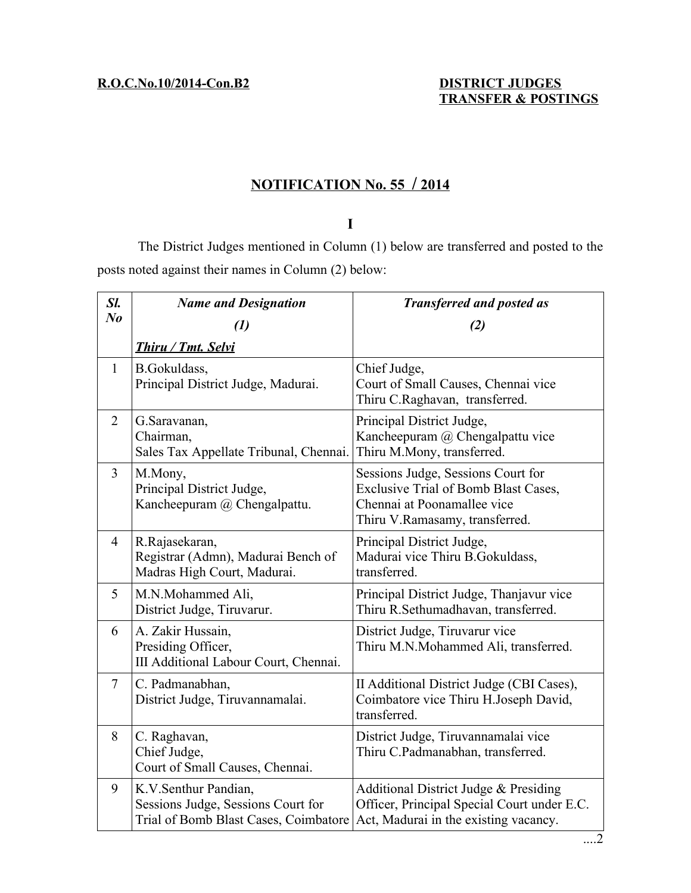## **N OTIFICATION No. 55 / 2 014**

## **I**

The District Judges mentioned in Column (1) below are transferred and posted to the posts noted against their names in Column (2) below:

| Sl.            | <b>Name and Designation</b>                                                                         | <b>Transferred and posted as</b>                                                                                                            |
|----------------|-----------------------------------------------------------------------------------------------------|---------------------------------------------------------------------------------------------------------------------------------------------|
| $N_{0}$        | (1)                                                                                                 | (2)                                                                                                                                         |
|                | Thiru / Tmt. Selvi                                                                                  |                                                                                                                                             |
| $\mathbf{1}$   | B.Gokuldass,<br>Principal District Judge, Madurai.                                                  | Chief Judge,<br>Court of Small Causes, Chennai vice<br>Thiru C.Raghavan, transferred.                                                       |
| $\overline{2}$ | G.Saravanan,<br>Chairman,<br>Sales Tax Appellate Tribunal, Chennai.                                 | Principal District Judge,<br>Kancheepuram @ Chengalpattu vice<br>Thiru M.Mony, transferred.                                                 |
| $\overline{3}$ | M.Mony,<br>Principal District Judge,<br>Kancheepuram @ Chengalpattu.                                | Sessions Judge, Sessions Court for<br>Exclusive Trial of Bomb Blast Cases,<br>Chennai at Poonamallee vice<br>Thiru V.Ramasamy, transferred. |
| $\overline{4}$ | R.Rajasekaran,<br>Registrar (Admn), Madurai Bench of<br>Madras High Court, Madurai.                 | Principal District Judge,<br>Madurai vice Thiru B.Gokuldass,<br>transferred.                                                                |
| 5              | M.N.Mohammed Ali,<br>District Judge, Tiruvarur.                                                     | Principal District Judge, Thanjavur vice<br>Thiru R.Sethumadhavan, transferred.                                                             |
| 6              | A. Zakir Hussain,<br>Presiding Officer,<br>III Additional Labour Court, Chennai.                    | District Judge, Tiruvarur vice<br>Thiru M.N.Mohammed Ali, transferred.                                                                      |
| $\tau$         | C. Padmanabhan,<br>District Judge, Tiruvannamalai.                                                  | II Additional District Judge (CBI Cases),<br>Coimbatore vice Thiru H.Joseph David,<br>transferred.                                          |
| 8              | C. Raghavan,<br>Chief Judge,<br>Court of Small Causes, Chennai.                                     | District Judge, Tiruvannamalai vice<br>Thiru C.Padmanabhan, transferred.                                                                    |
| 9              | K.V.Senthur Pandian,<br>Sessions Judge, Sessions Court for<br>Trial of Bomb Blast Cases, Coimbatore | Additional District Judge & Presiding<br>Officer, Principal Special Court under E.C.<br>Act, Madurai in the existing vacancy.               |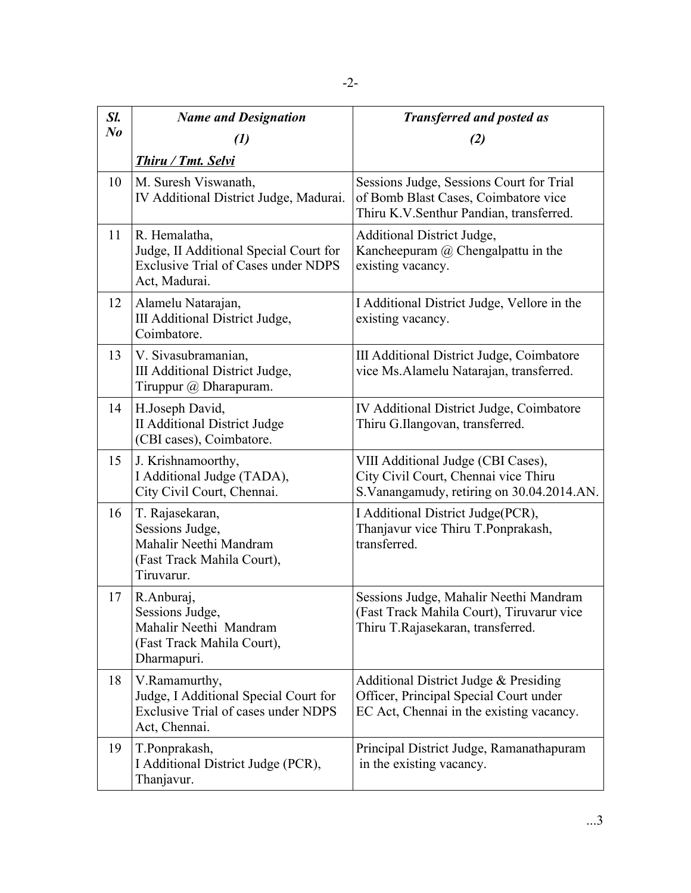| Sl.     | <b>Name and Designation</b>                                                                                            | <b>Transferred and posted as</b>                                                                                            |
|---------|------------------------------------------------------------------------------------------------------------------------|-----------------------------------------------------------------------------------------------------------------------------|
| $N_{0}$ | (1)                                                                                                                    | (2)                                                                                                                         |
|         | <b>Thiru / Tmt. Selvi</b>                                                                                              |                                                                                                                             |
| 10      | M. Suresh Viswanath,<br>IV Additional District Judge, Madurai.                                                         | Sessions Judge, Sessions Court for Trial<br>of Bomb Blast Cases, Coimbatore vice<br>Thiru K.V.Senthur Pandian, transferred. |
| 11      | R. Hemalatha,<br>Judge, II Additional Special Court for<br><b>Exclusive Trial of Cases under NDPS</b><br>Act, Madurai. | Additional District Judge,<br>Kancheepuram $@$ Chengalpattu in the<br>existing vacancy.                                     |
| 12      | Alamelu Natarajan,<br>III Additional District Judge,<br>Coimbatore.                                                    | I Additional District Judge, Vellore in the<br>existing vacancy.                                                            |
| 13      | V. Sivasubramanian,<br>III Additional District Judge,<br>Tiruppur $\omega$ Dharapuram.                                 | III Additional District Judge, Coimbatore<br>vice Ms.Alamelu Natarajan, transferred.                                        |
| 14      | H.Joseph David,<br><b>II Additional District Judge</b><br>(CBI cases), Coimbatore.                                     | IV Additional District Judge, Coimbatore<br>Thiru G.Ilangovan, transferred.                                                 |
| 15      | J. Krishnamoorthy,<br>I Additional Judge (TADA),<br>City Civil Court, Chennai.                                         | VIII Additional Judge (CBI Cases),<br>City Civil Court, Chennai vice Thiru<br>S. Vanangamudy, retiring on 30.04.2014.AN.    |
| 16      | T. Rajasekaran,<br>Sessions Judge,<br>Mahalir Neethi Mandram<br>(Fast Track Mahila Court),<br>Tiruvarur.               | I Additional District Judge(PCR),<br>Thanjavur vice Thiru T.Ponprakash,<br>transferred.                                     |
| 17      | R.Anburaj,<br>Sessions Judge,<br>Mahalir Neethi Mandram<br>(Fast Track Mahila Court),<br>Dharmapuri.                   | Sessions Judge, Mahalir Neethi Mandram<br>(Fast Track Mahila Court), Tiruvarur vice<br>Thiru T.Rajasekaran, transferred.    |
| 18      | V.Ramamurthy,<br>Judge, I Additional Special Court for<br><b>Exclusive Trial of cases under NDPS</b><br>Act, Chennai.  | Additional District Judge & Presiding<br>Officer, Principal Special Court under<br>EC Act, Chennai in the existing vacancy. |
| 19      | T.Ponprakash,<br>I Additional District Judge (PCR),<br>Thanjavur.                                                      | Principal District Judge, Ramanathapuram<br>in the existing vacancy.                                                        |